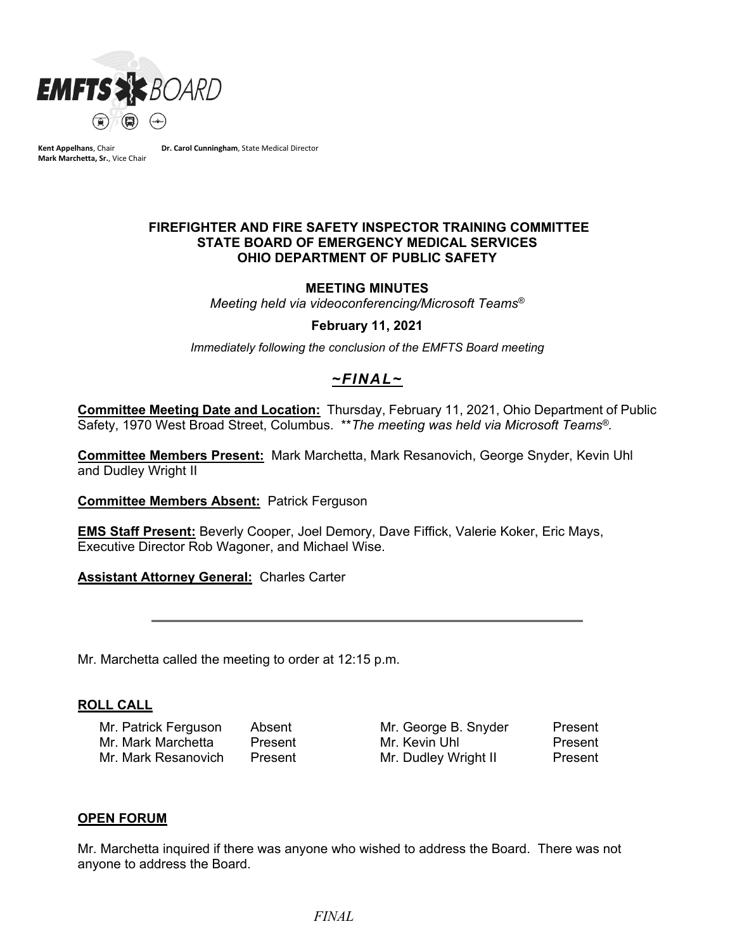

**Kent Appelhans**, Chair **Mark Marchetta, Sr.**, Vice Chair **Dr. Carol Cunningham**, State Medical Director

#### **FIREFIGHTER AND FIRE SAFETY INSPECTOR TRAINING COMMITTEE STATE BOARD OF EMERGENCY MEDICAL SERVICES OHIO DEPARTMENT OF PUBLIC SAFETY**

## **MEETING MINUTES**

*Meeting held via videoconferencing/Microsoft Teams®*

#### **February 11, 2021**

*Immediately following the conclusion of the EMFTS Board meeting*

# *~FINAL~*

**Committee Meeting Date and Location:** Thursday, February 11, 2021, Ohio Department of Public Safety, 1970 West Broad Street, Columbus. \*\**The meeting was held via Microsoft Teams®.*

**Committee Members Present:** Mark Marchetta, Mark Resanovich, George Snyder, Kevin Uhl and Dudley Wright II

**Committee Members Absent:** Patrick Ferguson

**EMS Staff Present:** Beverly Cooper, Joel Demory, Dave Fiffick, Valerie Koker, Eric Mays, Executive Director Rob Wagoner, and Michael Wise.

**Assistant Attorney General:** Charles Carter

Mr. Marchetta called the meeting to order at 12:15 p.m.

#### **ROLL CALL**

Mr. Patrick Ferguson Absent Mr. George B. Snyder Present Mr. Mark Marchetta Present Mr. Kevin Uhl Present Mr. Mark Resanovich Present Mr. Dudley Wright II Present

# **OPEN FORUM**

Mr. Marchetta inquired if there was anyone who wished to address the Board. There was not anyone to address the Board.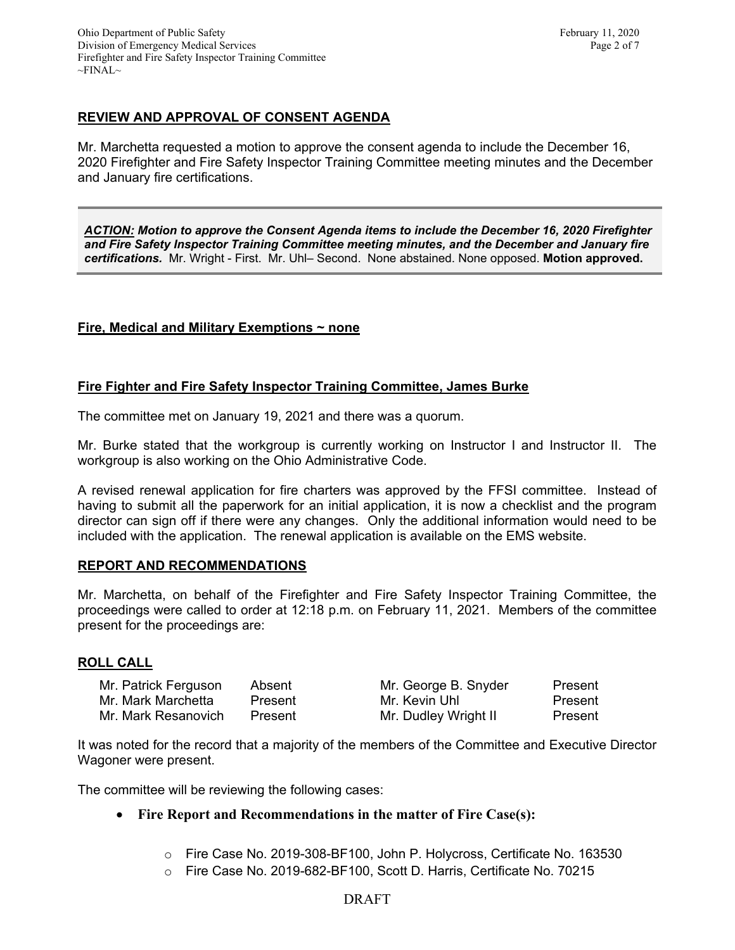# **REVIEW AND APPROVAL OF CONSENT AGENDA**

Mr. Marchetta requested a motion to approve the consent agenda to include the December 16, 2020 Firefighter and Fire Safety Inspector Training Committee meeting minutes and the December and January fire certifications.

*ACTION: Motion to approve the Consent Agenda items to include the December 16, 2020 Firefighter and Fire Safety Inspector Training Committee meeting minutes, and the December and January fire certifications.* Mr. Wright - First. Mr. Uhl– Second. None abstained. None opposed. **Motion approved.**

# **Fire, Medical and Military Exemptions ~ none**

## **Fire Fighter and Fire Safety Inspector Training Committee, James Burke**

The committee met on January 19, 2021 and there was a quorum.

Mr. Burke stated that the workgroup is currently working on Instructor I and Instructor II. The workgroup is also working on the Ohio Administrative Code.

A revised renewal application for fire charters was approved by the FFSI committee. Instead of having to submit all the paperwork for an initial application, it is now a checklist and the program director can sign off if there were any changes. Only the additional information would need to be included with the application. The renewal application is available on the EMS website.

#### **REPORT AND RECOMMENDATIONS**

Mr. Marchetta, on behalf of the Firefighter and Fire Safety Inspector Training Committee, the proceedings were called to order at 12:18 p.m. on February 11, 2021. Members of the committee present for the proceedings are:

#### **ROLL CALL**

| Mr. Patrick Ferguson | Absent  | Mr. George B. Snyder | Present |
|----------------------|---------|----------------------|---------|
| Mr. Mark Marchetta   | Present | Mr. Kevin Uhl        | Present |
| Mr. Mark Resanovich  | Present | Mr. Dudley Wright II | Present |

It was noted for the record that a majority of the members of the Committee and Executive Director Wagoner were present.

The committee will be reviewing the following cases:

#### • **Fire Report and Recommendations in the matter of Fire Case(s):**

- o Fire Case No. 2019-308-BF100, John P. Holycross, Certificate No. 163530
- o Fire Case No. 2019-682-BF100, Scott D. Harris, Certificate No. 70215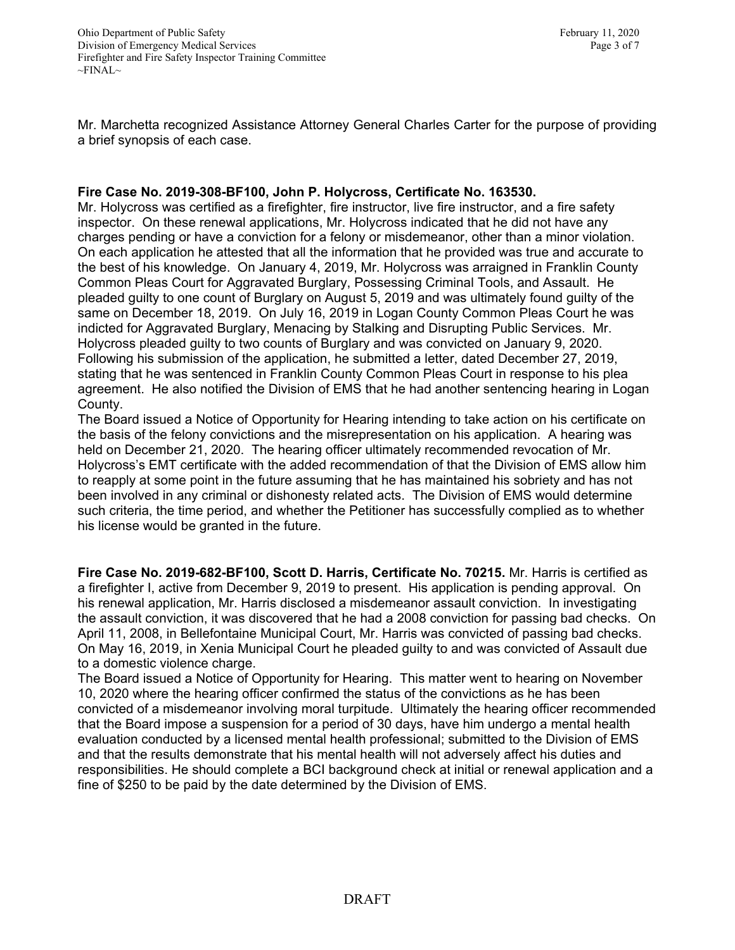Mr. Marchetta recognized Assistance Attorney General Charles Carter for the purpose of providing a brief synopsis of each case.

# **Fire Case No. 2019-308-BF100, John P. Holycross, Certificate No. 163530.**

Mr. Holycross was certified as a firefighter, fire instructor, live fire instructor, and a fire safety inspector. On these renewal applications, Mr. Holycross indicated that he did not have any charges pending or have a conviction for a felony or misdemeanor, other than a minor violation. On each application he attested that all the information that he provided was true and accurate to the best of his knowledge. On January 4, 2019, Mr. Holycross was arraigned in Franklin County Common Pleas Court for Aggravated Burglary, Possessing Criminal Tools, and Assault. He pleaded guilty to one count of Burglary on August 5, 2019 and was ultimately found guilty of the same on December 18, 2019. On July 16, 2019 in Logan County Common Pleas Court he was indicted for Aggravated Burglary, Menacing by Stalking and Disrupting Public Services. Mr. Holycross pleaded guilty to two counts of Burglary and was convicted on January 9, 2020. Following his submission of the application, he submitted a letter, dated December 27, 2019, stating that he was sentenced in Franklin County Common Pleas Court in response to his plea agreement. He also notified the Division of EMS that he had another sentencing hearing in Logan County.

The Board issued a Notice of Opportunity for Hearing intending to take action on his certificate on the basis of the felony convictions and the misrepresentation on his application. A hearing was held on December 21, 2020. The hearing officer ultimately recommended revocation of Mr. Holycross's EMT certificate with the added recommendation of that the Division of EMS allow him to reapply at some point in the future assuming that he has maintained his sobriety and has not been involved in any criminal or dishonesty related acts. The Division of EMS would determine such criteria, the time period, and whether the Petitioner has successfully complied as to whether his license would be granted in the future.

**Fire Case No. 2019-682-BF100, Scott D. Harris, Certificate No. 70215.** Mr. Harris is certified as a firefighter I, active from December 9, 2019 to present. His application is pending approval. On his renewal application, Mr. Harris disclosed a misdemeanor assault conviction. In investigating the assault conviction, it was discovered that he had a 2008 conviction for passing bad checks. On April 11, 2008, in Bellefontaine Municipal Court, Mr. Harris was convicted of passing bad checks. On May 16, 2019, in Xenia Municipal Court he pleaded guilty to and was convicted of Assault due to a domestic violence charge.

The Board issued a Notice of Opportunity for Hearing. This matter went to hearing on November 10, 2020 where the hearing officer confirmed the status of the convictions as he has been convicted of a misdemeanor involving moral turpitude. Ultimately the hearing officer recommended that the Board impose a suspension for a period of 30 days, have him undergo a mental health evaluation conducted by a licensed mental health professional; submitted to the Division of EMS and that the results demonstrate that his mental health will not adversely affect his duties and responsibilities. He should complete a BCI background check at initial or renewal application and a fine of \$250 to be paid by the date determined by the Division of EMS.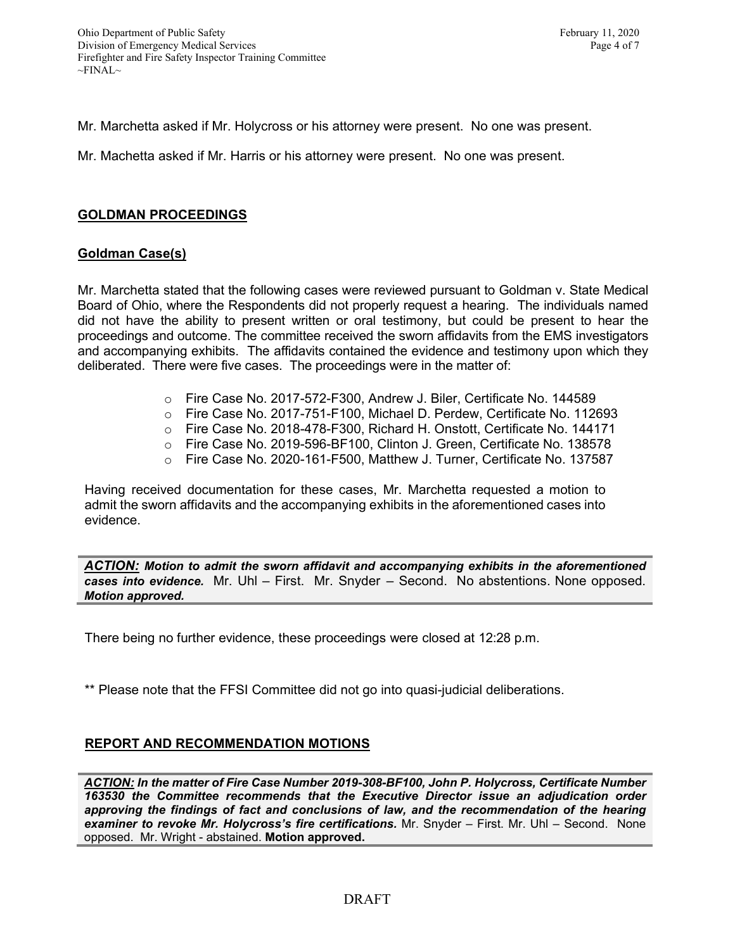Mr. Marchetta asked if Mr. Holycross or his attorney were present. No one was present.

Mr. Machetta asked if Mr. Harris or his attorney were present. No one was present.

#### **GOLDMAN PROCEEDINGS**

#### **Goldman Case(s)**

Mr. Marchetta stated that the following cases were reviewed pursuant to Goldman v. State Medical Board of Ohio, where the Respondents did not properly request a hearing. The individuals named did not have the ability to present written or oral testimony, but could be present to hear the proceedings and outcome. The committee received the sworn affidavits from the EMS investigators and accompanying exhibits. The affidavits contained the evidence and testimony upon which they deliberated. There were five cases. The proceedings were in the matter of:

- o Fire Case No. 2017-572-F300, Andrew J. Biler, Certificate No. 144589
- o Fire Case No. 2017-751-F100, Michael D. Perdew, Certificate No. 112693
- o Fire Case No. 2018-478-F300, Richard H. Onstott, Certificate No. 144171
- o Fire Case No. 2019-596-BF100, Clinton J. Green, Certificate No. 138578
- o Fire Case No. 2020-161-F500, Matthew J. Turner, Certificate No. 137587

Having received documentation for these cases, Mr. Marchetta requested a motion to admit the sworn affidavits and the accompanying exhibits in the aforementioned cases into evidence.

*ACTION: Motion to admit the sworn affidavit and accompanying exhibits in the aforementioned cases into evidence.* Mr. Uhl – First. Mr. Snyder – Second. No abstentions. None opposed. *Motion approved.* 

There being no further evidence, these proceedings were closed at 12:28 p.m.

\*\* Please note that the FFSI Committee did not go into quasi-judicial deliberations.

# **REPORT AND RECOMMENDATION MOTIONS**

*ACTION: In the matter of Fire Case Number 2019-308-BF100, John P. Holycross, Certificate Number 163530 the Committee recommends that the Executive Director issue an adjudication order approving the findings of fact and conclusions of law, and the recommendation of the hearing examiner to revoke Mr. Holycross's fire certifications.* Mr. Snyder – First. Mr. Uhl – Second. None opposed. Mr. Wright - abstained. **Motion approved.**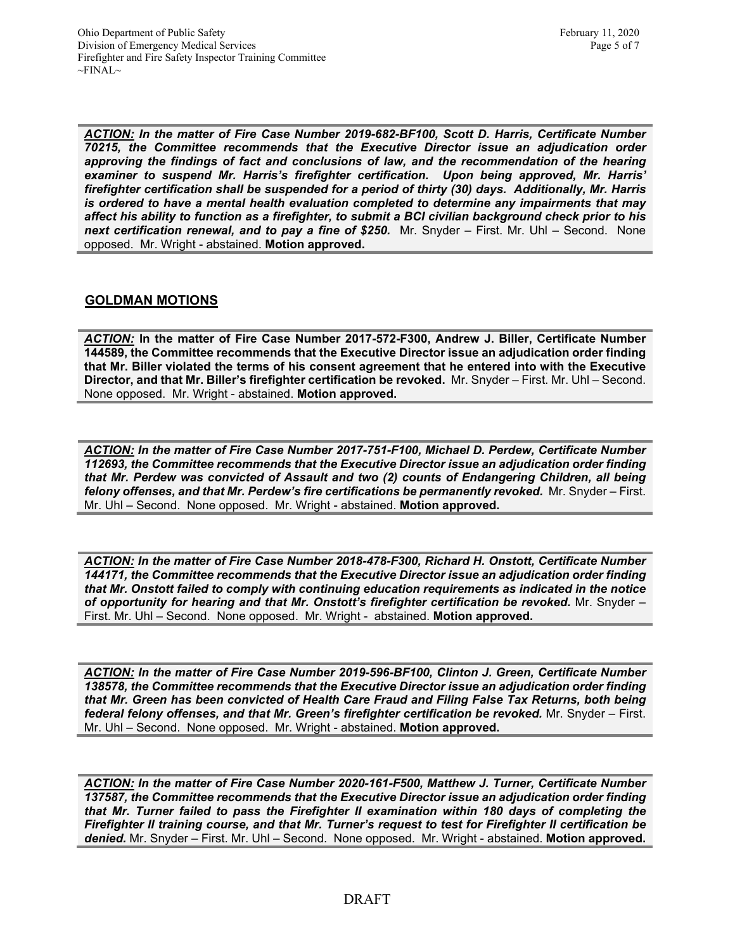*ACTION: In the matter of Fire Case Number 2019-682-BF100, Scott D. Harris, Certificate Number 70215, the Committee recommends that the Executive Director issue an adjudication order approving the findings of fact and conclusions of law, and the recommendation of the hearing examiner to suspend Mr. Harris's firefighter certification. Upon being approved, Mr. Harris' firefighter certification shall be suspended for a period of thirty (30) days. Additionally, Mr. Harris is ordered to have a mental health evaluation completed to determine any impairments that may affect his ability to function as a firefighter, to submit a BCI civilian background check prior to his next certification renewal, and to pay a fine of \$250.* Mr. Snyder – First. Mr. Uhl – Second. None opposed. Mr. Wright - abstained. **Motion approved.** 

# **GOLDMAN MOTIONS**

*ACTION:* **In the matter of Fire Case Number 2017-572-F300, Andrew J. Biller, Certificate Number 144589, the Committee recommends that the Executive Director issue an adjudication order finding that Mr. Biller violated the terms of his consent agreement that he entered into with the Executive Director, and that Mr. Biller's firefighter certification be revoked.** Mr. Snyder – First. Mr. Uhl – Second. None opposed. Mr. Wright - abstained. **Motion approved.** 

*ACTION: In the matter of Fire Case Number 2017-751-F100, Michael D. Perdew, Certificate Number 112693, the Committee recommends that the Executive Director issue an adjudication order finding that Mr. Perdew was convicted of Assault and two (2) counts of Endangering Children, all being felony offenses, and that Mr. Perdew's fire certifications be permanently revoked.* Mr. Snyder – First. Mr. Uhl – Second. None opposed. Mr. Wright - abstained. **Motion approved.** 

*ACTION: In the matter of Fire Case Number 2018-478-F300, Richard H. Onstott, Certificate Number 144171, the Committee recommends that the Executive Director issue an adjudication order finding that Mr. Onstott failed to comply with continuing education requirements as indicated in the notice of opportunity for hearing and that Mr. Onstott's firefighter certification be revoked.* Mr. Snyder – First. Mr. Uhl – Second. None opposed. Mr. Wright - abstained. **Motion approved.** 

*ACTION: In the matter of Fire Case Number 2019-596-BF100, Clinton J. Green, Certificate Number 138578, the Committee recommends that the Executive Director issue an adjudication order finding that Mr. Green has been convicted of Health Care Fraud and Filing False Tax Returns, both being federal felony offenses, and that Mr. Green's firefighter certification be revoked.* Mr. Snyder – First. Mr. Uhl – Second. None opposed. Mr. Wright - abstained. **Motion approved.** 

*ACTION: In the matter of Fire Case Number 2020-161-F500, Matthew J. Turner, Certificate Number 137587, the Committee recommends that the Executive Director issue an adjudication order finding that Mr. Turner failed to pass the Firefighter II examination within 180 days of completing the Firefighter II training course, and that Mr. Turner's request to test for Firefighter II certification be denied.* Mr. Snyder – First. Mr. Uhl – Second. None opposed. Mr. Wright - abstained. **Motion approved.**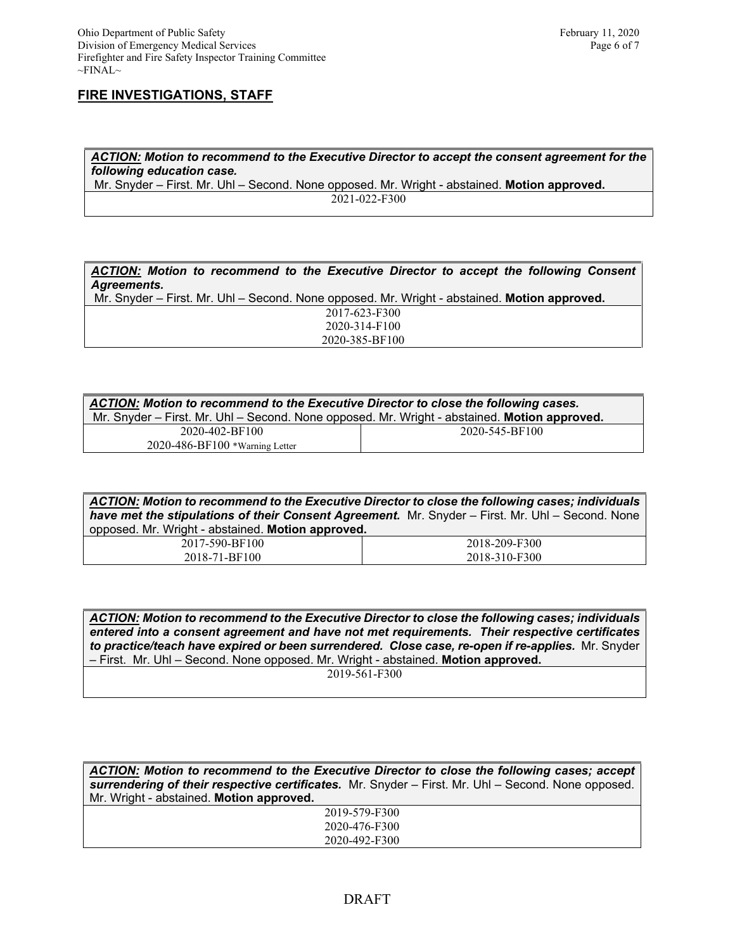#### **FIRE INVESTIGATIONS, STAFF**

*ACTION: Motion to recommend to the Executive Director to accept the consent agreement for the following education case.*

Mr. Snyder – First. Mr. Uhl – Second. None opposed. Mr. Wright - abstained. **Motion approved.** 2021-022-F300

*ACTION: Motion to recommend to the Executive Director to accept the following Consent Agreements.*

Mr. Snyder – First. Mr. Uhl – Second. None opposed. Mr. Wright - abstained. **Motion approved.** 2017-623-F300 2020-314-F100 2020-385-BF100

| ACTION: Motion to recommend to the Executive Director to close the following cases.<br>Mr. Snyder - First. Mr. Uhl - Second. None opposed. Mr. Wright - abstained. Motion approved. |                |  |  |
|-------------------------------------------------------------------------------------------------------------------------------------------------------------------------------------|----------------|--|--|
| 2020-402-BF100                                                                                                                                                                      | 2020-545-BF100 |  |  |
| $2020 - 486 - BF100$ *Warning Letter                                                                                                                                                |                |  |  |

*ACTION: Motion to recommend to the Executive Director to close the following cases; individuals have met the stipulations of their Consent Agreement.* Mr. Snyder – First. Mr. Uhl – Second. None opposed. Mr. Wright - abstained. **Motion approved.**

| 2017-590-BF100 | 2018-209-F300 |
|----------------|---------------|
| 2018-71-BF100  | 2018-310-F300 |

*ACTION: Motion to recommend to the Executive Director to close the following cases; individuals entered into a consent agreement and have not met requirements. Their respective certificates to practice/teach have expired or been surrendered. Close case, re-open if re-applies.* Mr. Snyder – First. Mr. Uhl – Second. None opposed. Mr. Wright - abstained. **Motion approved.**

2019-561-F300

*ACTION: Motion to recommend to the Executive Director to close the following cases; accept surrendering of their respective certificates.* Mr. Snyder – First. Mr. Uhl – Second. None opposed. Mr. Wright - abstained. **Motion approved.** 2019-579-F300 2020-476-F300 2020-492-F300